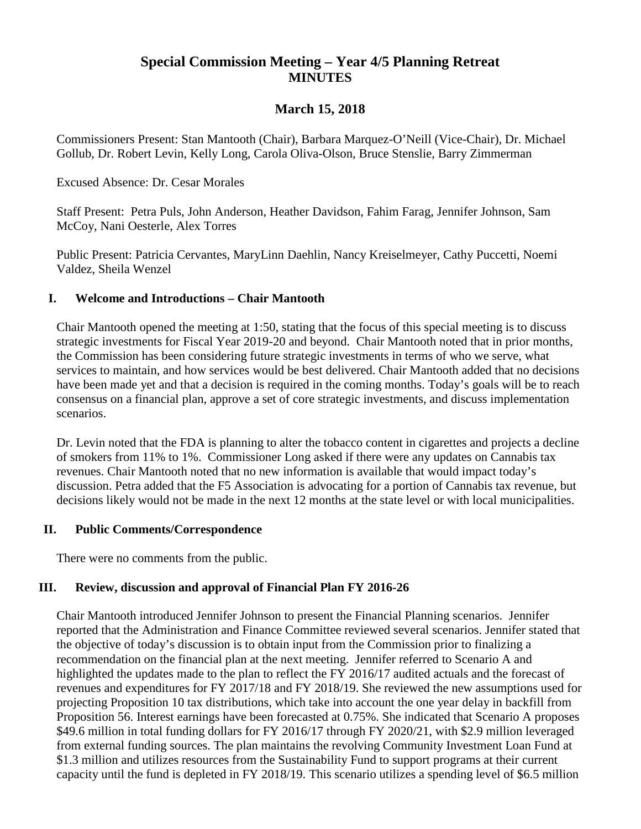# **Special Commission Meeting – Year 4/5 Planning Retreat MINUTES**

# **March 15, 2018**

Commissioners Present: Stan Mantooth (Chair), Barbara Marquez-O'Neill (Vice-Chair), Dr. Michael Gollub, Dr. Robert Levin, Kelly Long, Carola Oliva-Olson, Bruce Stenslie, Barry Zimmerman

#### Excused Absence: Dr. Cesar Morales

Staff Present: Petra Puls, John Anderson, Heather Davidson, Fahim Farag, Jennifer Johnson, Sam McCoy, Nani Oesterle, Alex Torres

Public Present: Patricia Cervantes, MaryLinn Daehlin, Nancy Kreiselmeyer, Cathy Puccetti, Noemi Valdez, Sheila Wenzel

#### **I. Welcome and Introductions – Chair Mantooth**

Chair Mantooth opened the meeting at 1:50, stating that the focus of this special meeting is to discuss strategic investments for Fiscal Year 2019-20 and beyond. Chair Mantooth noted that in prior months, the Commission has been considering future strategic investments in terms of who we serve, what services to maintain, and how services would be best delivered. Chair Mantooth added that no decisions have been made yet and that a decision is required in the coming months. Today's goals will be to reach consensus on a financial plan, approve a set of core strategic investments, and discuss implementation scenarios.

Dr. Levin noted that the FDA is planning to alter the tobacco content in cigarettes and projects a decline of smokers from 11% to 1%. Commissioner Long asked if there were any updates on Cannabis tax revenues. Chair Mantooth noted that no new information is available that would impact today's discussion. Petra added that the F5 Association is advocating for a portion of Cannabis tax revenue, but decisions likely would not be made in the next 12 months at the state level or with local municipalities.

#### **II. Public Comments/Correspondence**

There were no comments from the public.

#### **III. Review, discussion and approval of Financial Plan FY 2016-26**

Chair Mantooth introduced Jennifer Johnson to present the Financial Planning scenarios. Jennifer reported that the Administration and Finance Committee reviewed several scenarios. Jennifer stated that the objective of today's discussion is to obtain input from the Commission prior to finalizing a recommendation on the financial plan at the next meeting. Jennifer referred to Scenario A and highlighted the updates made to the plan to reflect the FY 2016/17 audited actuals and the forecast of revenues and expenditures for FY 2017/18 and FY 2018/19. She reviewed the new assumptions used for projecting Proposition 10 tax distributions, which take into account the one year delay in backfill from Proposition 56. Interest earnings have been forecasted at 0.75%. She indicated that Scenario A proposes \$49.6 million in total funding dollars for FY 2016/17 through FY 2020/21, with \$2.9 million leveraged from external funding sources. The plan maintains the revolving Community Investment Loan Fund at \$1.3 million and utilizes resources from the Sustainability Fund to support programs at their current capacity until the fund is depleted in FY 2018/19. This scenario utilizes a spending level of \$6.5 million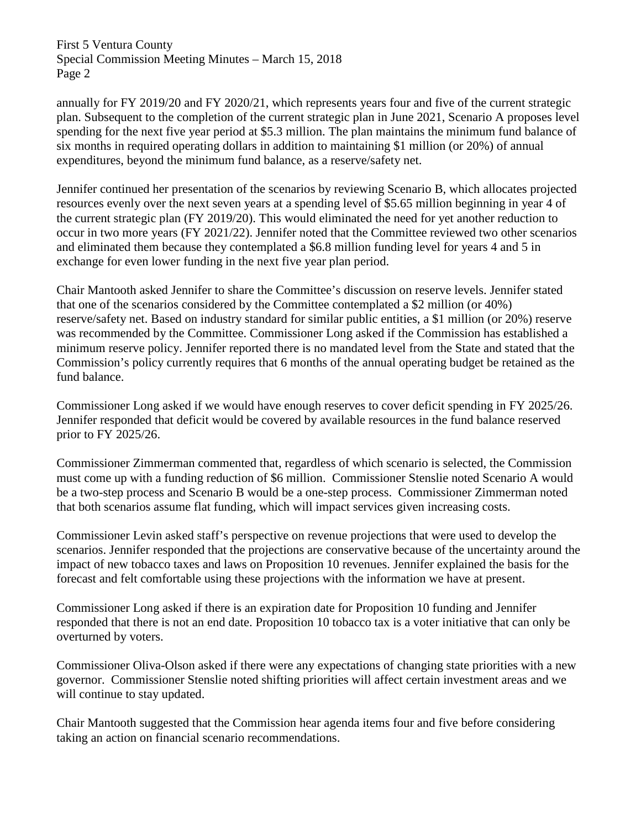annually for FY 2019/20 and FY 2020/21, which represents years four and five of the current strategic plan. Subsequent to the completion of the current strategic plan in June 2021, Scenario A proposes level spending for the next five year period at \$5.3 million. The plan maintains the minimum fund balance of six months in required operating dollars in addition to maintaining \$1 million (or 20%) of annual expenditures, beyond the minimum fund balance, as a reserve/safety net.

Jennifer continued her presentation of the scenarios by reviewing Scenario B, which allocates projected resources evenly over the next seven years at a spending level of \$5.65 million beginning in year 4 of the current strategic plan (FY 2019/20). This would eliminated the need for yet another reduction to occur in two more years (FY 2021/22). Jennifer noted that the Committee reviewed two other scenarios and eliminated them because they contemplated a \$6.8 million funding level for years 4 and 5 in exchange for even lower funding in the next five year plan period.

Chair Mantooth asked Jennifer to share the Committee's discussion on reserve levels. Jennifer stated that one of the scenarios considered by the Committee contemplated a \$2 million (or 40%) reserve/safety net. Based on industry standard for similar public entities, a \$1 million (or 20%) reserve was recommended by the Committee. Commissioner Long asked if the Commission has established a minimum reserve policy. Jennifer reported there is no mandated level from the State and stated that the Commission's policy currently requires that 6 months of the annual operating budget be retained as the fund balance.

Commissioner Long asked if we would have enough reserves to cover deficit spending in FY 2025/26. Jennifer responded that deficit would be covered by available resources in the fund balance reserved prior to FY 2025/26.

Commissioner Zimmerman commented that, regardless of which scenario is selected, the Commission must come up with a funding reduction of \$6 million. Commissioner Stenslie noted Scenario A would be a two-step process and Scenario B would be a one-step process. Commissioner Zimmerman noted that both scenarios assume flat funding, which will impact services given increasing costs.

Commissioner Levin asked staff's perspective on revenue projections that were used to develop the scenarios. Jennifer responded that the projections are conservative because of the uncertainty around the impact of new tobacco taxes and laws on Proposition 10 revenues. Jennifer explained the basis for the forecast and felt comfortable using these projections with the information we have at present.

Commissioner Long asked if there is an expiration date for Proposition 10 funding and Jennifer responded that there is not an end date. Proposition 10 tobacco tax is a voter initiative that can only be overturned by voters.

Commissioner Oliva-Olson asked if there were any expectations of changing state priorities with a new governor. Commissioner Stenslie noted shifting priorities will affect certain investment areas and we will continue to stay updated.

Chair Mantooth suggested that the Commission hear agenda items four and five before considering taking an action on financial scenario recommendations.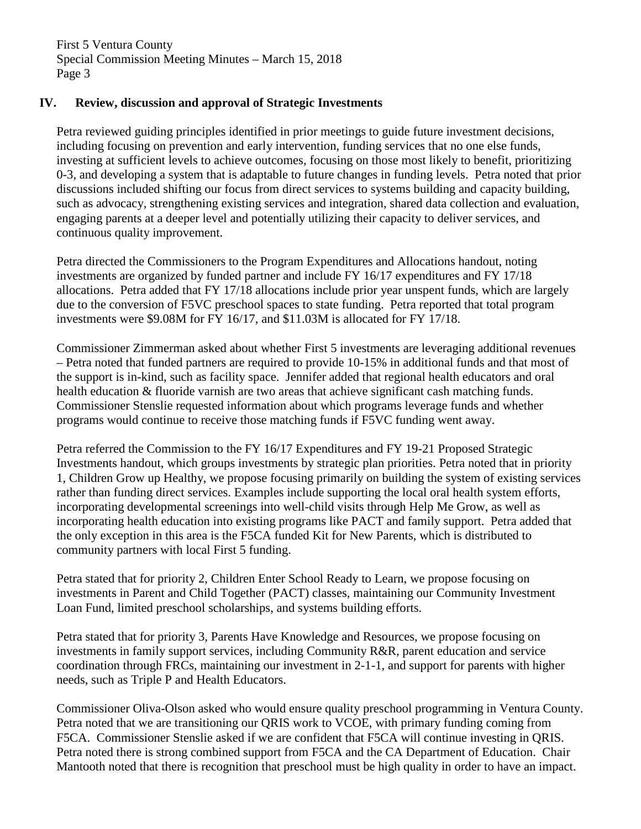## **IV. Review, discussion and approval of Strategic Investments**

Petra reviewed guiding principles identified in prior meetings to guide future investment decisions, including focusing on prevention and early intervention, funding services that no one else funds, investing at sufficient levels to achieve outcomes, focusing on those most likely to benefit, prioritizing 0-3, and developing a system that is adaptable to future changes in funding levels. Petra noted that prior discussions included shifting our focus from direct services to systems building and capacity building, such as advocacy, strengthening existing services and integration, shared data collection and evaluation, engaging parents at a deeper level and potentially utilizing their capacity to deliver services, and continuous quality improvement.

Petra directed the Commissioners to the Program Expenditures and Allocations handout, noting investments are organized by funded partner and include FY 16/17 expenditures and FY 17/18 allocations. Petra added that FY 17/18 allocations include prior year unspent funds, which are largely due to the conversion of F5VC preschool spaces to state funding. Petra reported that total program investments were \$9.08M for FY 16/17, and \$11.03M is allocated for FY 17/18.

Commissioner Zimmerman asked about whether First 5 investments are leveraging additional revenues – Petra noted that funded partners are required to provide 10-15% in additional funds and that most of the support is in-kind, such as facility space. Jennifer added that regional health educators and oral health education & fluoride varnish are two areas that achieve significant cash matching funds. Commissioner Stenslie requested information about which programs leverage funds and whether programs would continue to receive those matching funds if F5VC funding went away.

Petra referred the Commission to the FY 16/17 Expenditures and FY 19-21 Proposed Strategic Investments handout, which groups investments by strategic plan priorities. Petra noted that in priority 1, Children Grow up Healthy, we propose focusing primarily on building the system of existing services rather than funding direct services. Examples include supporting the local oral health system efforts, incorporating developmental screenings into well-child visits through Help Me Grow, as well as incorporating health education into existing programs like PACT and family support. Petra added that the only exception in this area is the F5CA funded Kit for New Parents, which is distributed to community partners with local First 5 funding.

Petra stated that for priority 2, Children Enter School Ready to Learn, we propose focusing on investments in Parent and Child Together (PACT) classes, maintaining our Community Investment Loan Fund, limited preschool scholarships, and systems building efforts.

Petra stated that for priority 3, Parents Have Knowledge and Resources, we propose focusing on investments in family support services, including Community R&R, parent education and service coordination through FRCs, maintaining our investment in 2-1-1, and support for parents with higher needs, such as Triple P and Health Educators.

Commissioner Oliva-Olson asked who would ensure quality preschool programming in Ventura County. Petra noted that we are transitioning our QRIS work to VCOE, with primary funding coming from F5CA. Commissioner Stenslie asked if we are confident that F5CA will continue investing in QRIS. Petra noted there is strong combined support from F5CA and the CA Department of Education. Chair Mantooth noted that there is recognition that preschool must be high quality in order to have an impact.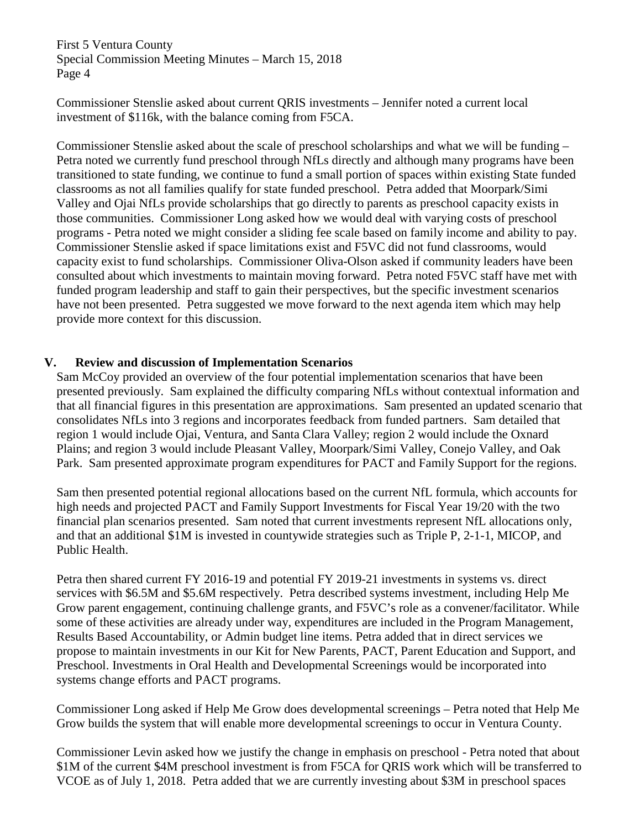Commissioner Stenslie asked about current QRIS investments – Jennifer noted a current local investment of \$116k, with the balance coming from F5CA.

Commissioner Stenslie asked about the scale of preschool scholarships and what we will be funding – Petra noted we currently fund preschool through NfLs directly and although many programs have been transitioned to state funding, we continue to fund a small portion of spaces within existing State funded classrooms as not all families qualify for state funded preschool. Petra added that Moorpark/Simi Valley and Ojai NfLs provide scholarships that go directly to parents as preschool capacity exists in those communities. Commissioner Long asked how we would deal with varying costs of preschool programs - Petra noted we might consider a sliding fee scale based on family income and ability to pay. Commissioner Stenslie asked if space limitations exist and F5VC did not fund classrooms, would capacity exist to fund scholarships. Commissioner Oliva-Olson asked if community leaders have been consulted about which investments to maintain moving forward. Petra noted F5VC staff have met with funded program leadership and staff to gain their perspectives, but the specific investment scenarios have not been presented. Petra suggested we move forward to the next agenda item which may help provide more context for this discussion.

## **V. Review and discussion of Implementation Scenarios**

Sam McCoy provided an overview of the four potential implementation scenarios that have been presented previously. Sam explained the difficulty comparing NfLs without contextual information and that all financial figures in this presentation are approximations. Sam presented an updated scenario that consolidates NfLs into 3 regions and incorporates feedback from funded partners. Sam detailed that region 1 would include Ojai, Ventura, and Santa Clara Valley; region 2 would include the Oxnard Plains; and region 3 would include Pleasant Valley, Moorpark/Simi Valley, Conejo Valley, and Oak Park. Sam presented approximate program expenditures for PACT and Family Support for the regions.

Sam then presented potential regional allocations based on the current NfL formula, which accounts for high needs and projected PACT and Family Support Investments for Fiscal Year 19/20 with the two financial plan scenarios presented. Sam noted that current investments represent NfL allocations only, and that an additional \$1M is invested in countywide strategies such as Triple P, 2-1-1, MICOP, and Public Health.

Petra then shared current FY 2016-19 and potential FY 2019-21 investments in systems vs. direct services with \$6.5M and \$5.6M respectively. Petra described systems investment, including Help Me Grow parent engagement, continuing challenge grants, and F5VC's role as a convener/facilitator. While some of these activities are already under way, expenditures are included in the Program Management, Results Based Accountability, or Admin budget line items. Petra added that in direct services we propose to maintain investments in our Kit for New Parents, PACT, Parent Education and Support, and Preschool. Investments in Oral Health and Developmental Screenings would be incorporated into systems change efforts and PACT programs.

Commissioner Long asked if Help Me Grow does developmental screenings – Petra noted that Help Me Grow builds the system that will enable more developmental screenings to occur in Ventura County.

Commissioner Levin asked how we justify the change in emphasis on preschool - Petra noted that about \$1M of the current \$4M preschool investment is from F5CA for QRIS work which will be transferred to VCOE as of July 1, 2018. Petra added that we are currently investing about \$3M in preschool spaces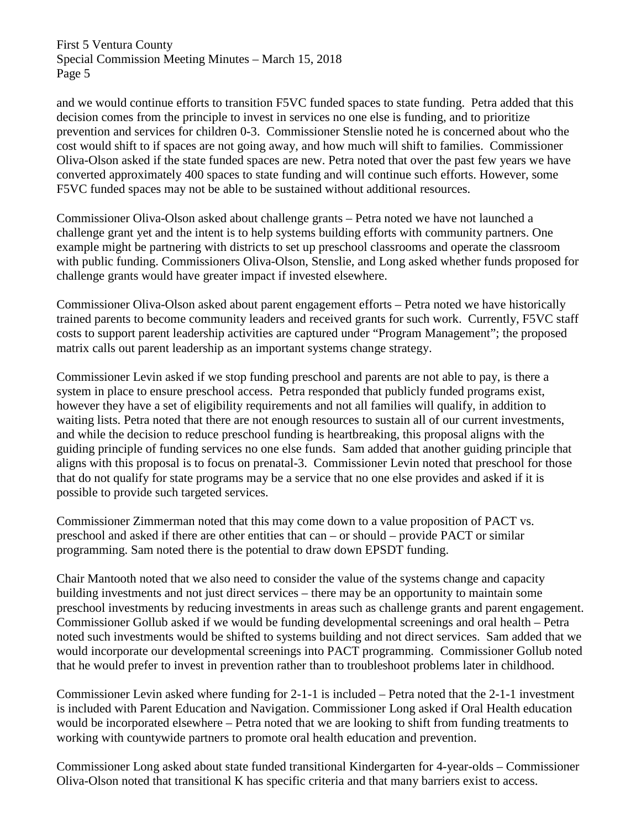and we would continue efforts to transition F5VC funded spaces to state funding. Petra added that this decision comes from the principle to invest in services no one else is funding, and to prioritize prevention and services for children 0-3. Commissioner Stenslie noted he is concerned about who the cost would shift to if spaces are not going away, and how much will shift to families. Commissioner Oliva-Olson asked if the state funded spaces are new. Petra noted that over the past few years we have converted approximately 400 spaces to state funding and will continue such efforts. However, some F5VC funded spaces may not be able to be sustained without additional resources.

Commissioner Oliva-Olson asked about challenge grants – Petra noted we have not launched a challenge grant yet and the intent is to help systems building efforts with community partners. One example might be partnering with districts to set up preschool classrooms and operate the classroom with public funding. Commissioners Oliva-Olson, Stenslie, and Long asked whether funds proposed for challenge grants would have greater impact if invested elsewhere.

Commissioner Oliva-Olson asked about parent engagement efforts – Petra noted we have historically trained parents to become community leaders and received grants for such work. Currently, F5VC staff costs to support parent leadership activities are captured under "Program Management"; the proposed matrix calls out parent leadership as an important systems change strategy.

Commissioner Levin asked if we stop funding preschool and parents are not able to pay, is there a system in place to ensure preschool access. Petra responded that publicly funded programs exist, however they have a set of eligibility requirements and not all families will qualify, in addition to waiting lists. Petra noted that there are not enough resources to sustain all of our current investments, and while the decision to reduce preschool funding is heartbreaking, this proposal aligns with the guiding principle of funding services no one else funds. Sam added that another guiding principle that aligns with this proposal is to focus on prenatal-3. Commissioner Levin noted that preschool for those that do not qualify for state programs may be a service that no one else provides and asked if it is possible to provide such targeted services.

Commissioner Zimmerman noted that this may come down to a value proposition of PACT vs. preschool and asked if there are other entities that can – or should – provide PACT or similar programming. Sam noted there is the potential to draw down EPSDT funding.

Chair Mantooth noted that we also need to consider the value of the systems change and capacity building investments and not just direct services – there may be an opportunity to maintain some preschool investments by reducing investments in areas such as challenge grants and parent engagement. Commissioner Gollub asked if we would be funding developmental screenings and oral health – Petra noted such investments would be shifted to systems building and not direct services. Sam added that we would incorporate our developmental screenings into PACT programming. Commissioner Gollub noted that he would prefer to invest in prevention rather than to troubleshoot problems later in childhood.

Commissioner Levin asked where funding for 2-1-1 is included – Petra noted that the 2-1-1 investment is included with Parent Education and Navigation. Commissioner Long asked if Oral Health education would be incorporated elsewhere – Petra noted that we are looking to shift from funding treatments to working with countywide partners to promote oral health education and prevention.

Commissioner Long asked about state funded transitional Kindergarten for 4-year-olds – Commissioner Oliva-Olson noted that transitional K has specific criteria and that many barriers exist to access.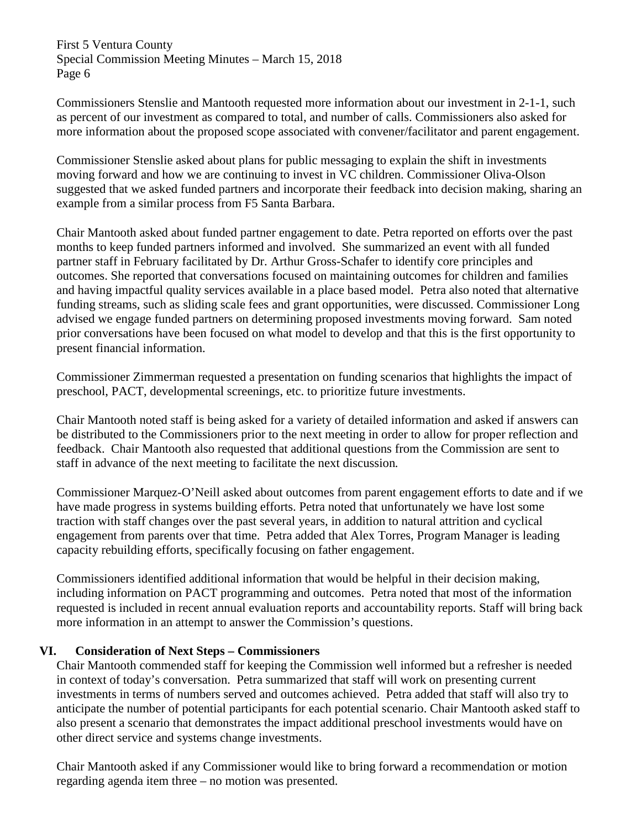Commissioners Stenslie and Mantooth requested more information about our investment in 2-1-1, such as percent of our investment as compared to total, and number of calls. Commissioners also asked for more information about the proposed scope associated with convener/facilitator and parent engagement.

Commissioner Stenslie asked about plans for public messaging to explain the shift in investments moving forward and how we are continuing to invest in VC children. Commissioner Oliva-Olson suggested that we asked funded partners and incorporate their feedback into decision making, sharing an example from a similar process from F5 Santa Barbara.

Chair Mantooth asked about funded partner engagement to date. Petra reported on efforts over the past months to keep funded partners informed and involved. She summarized an event with all funded partner staff in February facilitated by Dr. Arthur Gross-Schafer to identify core principles and outcomes. She reported that conversations focused on maintaining outcomes for children and families and having impactful quality services available in a place based model. Petra also noted that alternative funding streams, such as sliding scale fees and grant opportunities, were discussed. Commissioner Long advised we engage funded partners on determining proposed investments moving forward. Sam noted prior conversations have been focused on what model to develop and that this is the first opportunity to present financial information.

Commissioner Zimmerman requested a presentation on funding scenarios that highlights the impact of preschool, PACT, developmental screenings, etc. to prioritize future investments.

Chair Mantooth noted staff is being asked for a variety of detailed information and asked if answers can be distributed to the Commissioners prior to the next meeting in order to allow for proper reflection and feedback. Chair Mantooth also requested that additional questions from the Commission are sent to staff in advance of the next meeting to facilitate the next discussion*.*

Commissioner Marquez-O'Neill asked about outcomes from parent engagement efforts to date and if we have made progress in systems building efforts. Petra noted that unfortunately we have lost some traction with staff changes over the past several years, in addition to natural attrition and cyclical engagement from parents over that time. Petra added that Alex Torres, Program Manager is leading capacity rebuilding efforts, specifically focusing on father engagement.

Commissioners identified additional information that would be helpful in their decision making, including information on PACT programming and outcomes. Petra noted that most of the information requested is included in recent annual evaluation reports and accountability reports. Staff will bring back more information in an attempt to answer the Commission's questions.

# **VI. Consideration of Next Steps – Commissioners**

Chair Mantooth commended staff for keeping the Commission well informed but a refresher is needed in context of today's conversation. Petra summarized that staff will work on presenting current investments in terms of numbers served and outcomes achieved. Petra added that staff will also try to anticipate the number of potential participants for each potential scenario. Chair Mantooth asked staff to also present a scenario that demonstrates the impact additional preschool investments would have on other direct service and systems change investments.

Chair Mantooth asked if any Commissioner would like to bring forward a recommendation or motion regarding agenda item three – no motion was presented.